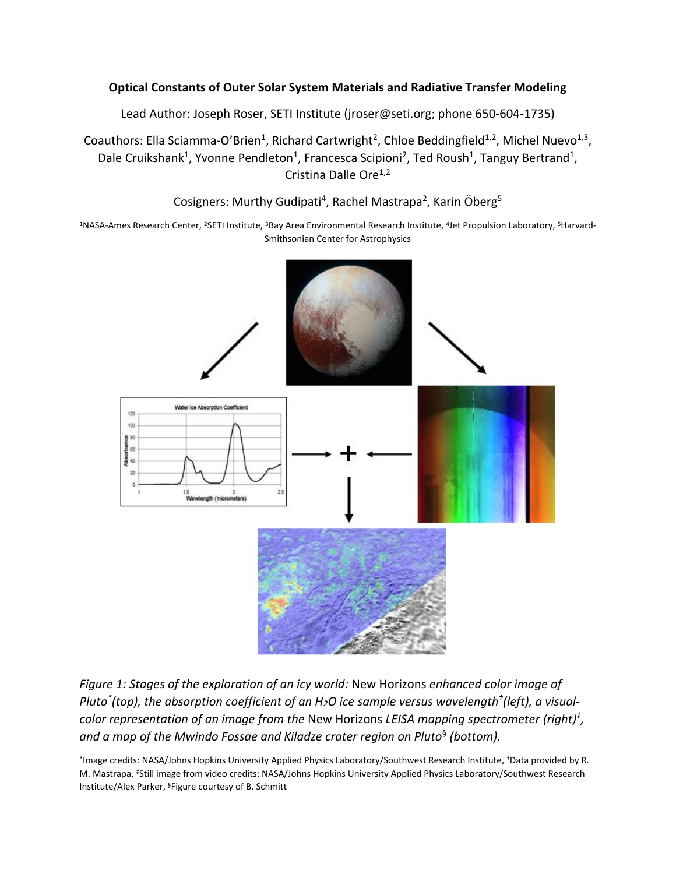### **Optical Constants of Outer Solar System Materials and Radiative Transfer Modeling**

Lead Author: Joseph Roser, SETI Institute (jroser@seti.org; phone 650-604-1735)

Coauthors: Ella Sciamma-O'Brien<sup>1</sup>, Richard Cartwright<sup>2</sup>, Chloe Beddingfield<sup>1,2</sup>, Michel Nuevo<sup>1,3</sup>, Dale Cruikshank<sup>1</sup>, Yvonne Pendleton<sup>1</sup>, Francesca Scipioni<sup>2</sup>, Ted Roush<sup>1</sup>, Tanguy Bertrand<sup>1</sup>, Cristina Dalle Ore<sup>1,2</sup>

Cosigners: Murthy Gudipati<sup>4</sup>, Rachel Mastrapa<sup>2</sup>, Karin Öberg<sup>5</sup>

<sup>1</sup>NASA-Ames Research Center, <sup>2</sup>SETI Institute, <sup>3</sup>Bay Area Environmental Research Institute, <sup>4</sup>Jet Propulsion Laboratory, <sup>5</sup>Harvard-Smithsonian Center for Astrophysics



*Figure 1: Stages of the exploration of an icy world:* New Horizons *enhanced color image of Pluto\* (top), the absorption coefficient of an H2O ice sample versus wavelength† (left), a visualcolor representation of an image from the* New Horizons *LEISA mapping spectrometer (right)‡ , and a map of the Mwindo Fossae and Kiladze crater region on Pluto*§ *(bottom).*

\*Image credits: NASA/Johns Hopkins University Applied Physics Laboratory/Southwest Research Institute, \*Data provided by R. M. Mastrapa, *‡*Still image from video credits: NASA/Johns Hopkins University Applied Physics Laboratory/Southwest Research Institute/Alex Parker, §Figure courtesy of B. Schmitt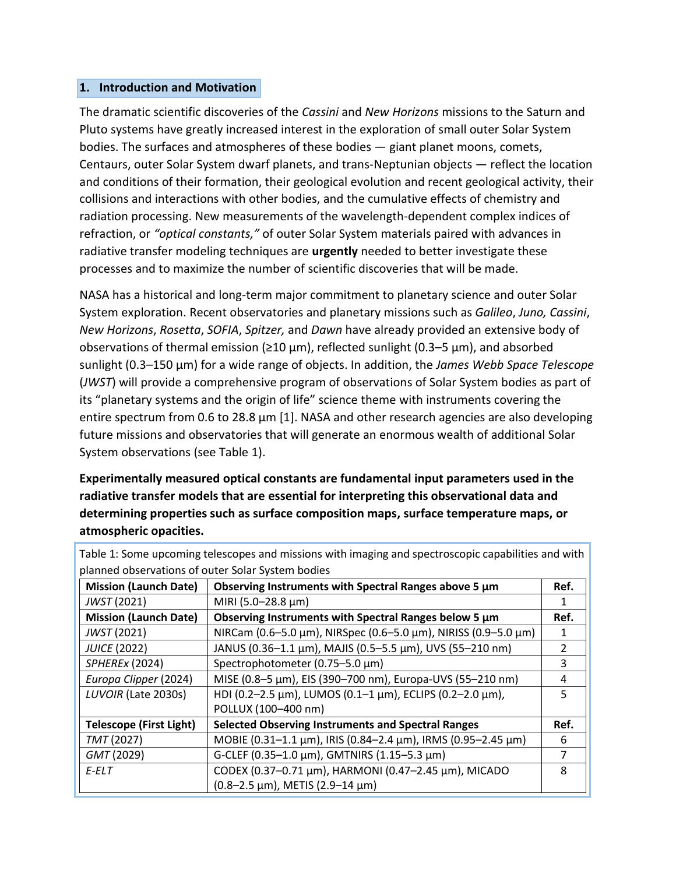#### **1. Introduction and Motivation**

The dramatic scientific discoveries of the *Cassini* and *New Horizons* missions to the Saturn and Pluto systems have greatly increased interest in the exploration of small outer Solar System bodies. The surfaces and atmospheres of these bodies — giant planet moons, comets, Centaurs, outer Solar System dwarf planets, and trans-Neptunian objects — reflect the location and conditions of their formation, their geological evolution and recent geological activity, their collisions and interactions with other bodies, and the cumulative effects of chemistry and radiation processing. New measurements of the wavelength-dependent complex indices of refraction, or *"optical constants,"* of outer Solar System materials paired with advances in radiative transfer modeling techniques are **urgently** needed to better investigate these processes and to maximize the number of scientific discoveries that will be made.

NASA has a historical and long-term major commitment to planetary science and outer Solar System exploration. Recent observatories and planetary missions such as *Galileo*, *Juno, Cassini*, *New Horizons*, *Rosetta*, *SOFIA*, *Spitzer,* and *Dawn* have already provided an extensive body of observations of thermal emission ( $\geq 10 \mu m$ ), reflected sunlight (0.3–5  $\mu m$ ), and absorbed sunlight (0.3–150 μm) for a wide range of objects. In addition, the *James Webb Space Telescope* (*JWST*) will provide a comprehensive program of observations of Solar System bodies as part of its "planetary systems and the origin of life" science theme with instruments covering the entire spectrum from 0.6 to 28.8 μm [1]. NASA and other research agencies are also developing future missions and observatories that will generate an enormous wealth of additional Solar System observations (see Table 1).

**Experimentally measured optical constants are fundamental input parameters used in the radiative transfer models that are essential for interpreting this observational data and determining properties such as surface composition maps, surface temperature maps, or atmospheric opacities.**

| planned observations of outer Solar System bodies |                                                                |      |
|---------------------------------------------------|----------------------------------------------------------------|------|
| <b>Mission (Launch Date)</b>                      | Observing Instruments with Spectral Ranges above 5 µm          | Ref. |
| JWST (2021)                                       | MIRI (5.0-28.8 µm)                                             |      |
| <b>Mission (Launch Date)</b>                      | Observing Instruments with Spectral Ranges below 5 µm          | Ref. |
| JWST (2021)                                       | NIRCam (0.6-5.0 μm), NIRSpec (0.6-5.0 μm), NIRISS (0.9-5.0 μm) |      |
| <b>JUICE (2022)</b>                               | JANUS (0.36-1.1 µm), MAJIS (0.5-5.5 µm), UVS (55-210 nm)       | 2    |
| <b>SPHEREX (2024)</b>                             | Spectrophotometer (0.75-5.0 µm)                                | 3    |
| Europa Clipper (2024)                             | MISE (0.8-5 μm), EIS (390-700 nm), Europa-UVS (55-210 nm)      | 4    |
| LUVOIR (Late 2030s)                               | HDI (0.2-2.5 μm), LUMOS (0.1-1 μm), ECLIPS (0.2-2.0 μm),       | 5    |
|                                                   | POLLUX (100-400 nm)                                            |      |
| <b>Telescope (First Light)</b>                    | <b>Selected Observing Instruments and Spectral Ranges</b>      | Ref. |
| TMT (2027)                                        | MOBIE (0.31-1.1 μm), IRIS (0.84-2.4 μm), IRMS (0.95-2.45 μm)   | 6    |
| GMT (2029)                                        | G-CLEF (0.35-1.0 μm), GMTNIRS (1.15-5.3 μm)                    | 7    |
| $E$ - $ELT$                                       | CODEX (0.37-0.71 μm), HARMONI (0.47-2.45 μm), MICADO           | 8    |
|                                                   | (0.8-2.5 μm), METIS (2.9-14 μm)                                |      |

Table 1: Some upcoming telescopes and missions with imaging and spectroscopic capabilities and with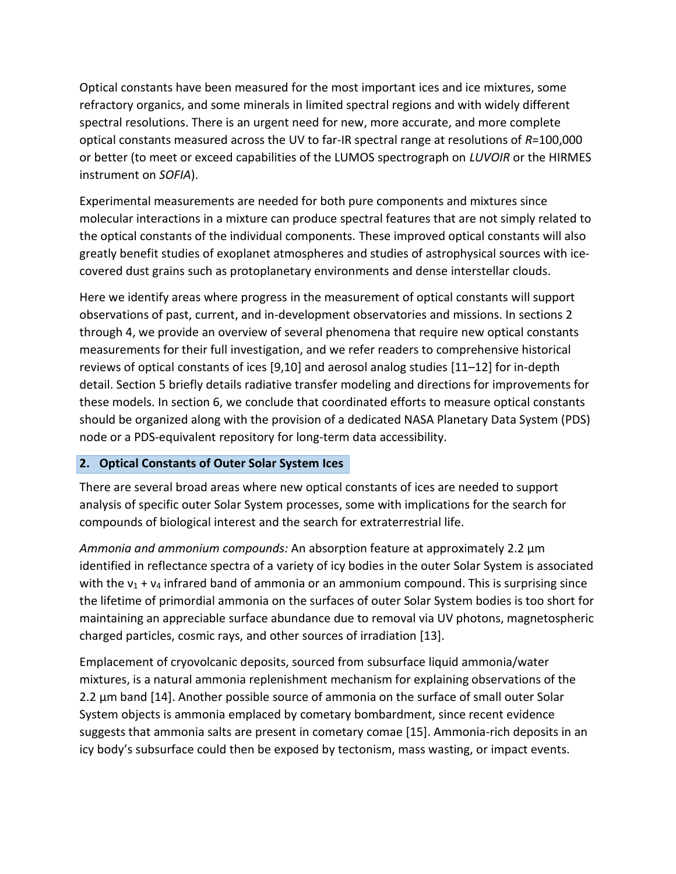Optical constants have been measured for the most important ices and ice mixtures, some refractory organics, and some minerals in limited spectral regions and with widely different spectral resolutions. There is an urgent need for new, more accurate, and more complete optical constants measured across the UV to far-IR spectral range at resolutions of *R*=100,000 or better (to meet or exceed capabilities of the LUMOS spectrograph on *LUVOIR* or the HIRMES instrument on *SOFIA*).

Experimental measurements are needed for both pure components and mixtures since molecular interactions in a mixture can produce spectral features that are not simply related to the optical constants of the individual components. These improved optical constants will also greatly benefit studies of exoplanet atmospheres and studies of astrophysical sources with icecovered dust grains such as protoplanetary environments and dense interstellar clouds.

Here we identify areas where progress in the measurement of optical constants will support observations of past, current, and in-development observatories and missions. In sections 2 through 4, we provide an overview of several phenomena that require new optical constants measurements for their full investigation, and we refer readers to comprehensive historical reviews of optical constants of ices [9,10] and aerosol analog studies [11–12] for in-depth detail. Section 5 briefly details radiative transfer modeling and directions for improvements for these models. In section 6, we conclude that coordinated efforts to measure optical constants should be organized along with the provision of a dedicated NASA Planetary Data System (PDS) node or a PDS-equivalent repository for long-term data accessibility.

#### **2. Optical Constants of Outer Solar System Ices**

There are several broad areas where new optical constants of ices are needed to support analysis of specific outer Solar System processes, some with implications for the search for compounds of biological interest and the search for extraterrestrial life.

*Ammonia and ammonium compounds:* An absorption feature at approximately 2.2 μm identified in reflectance spectra of a variety of icy bodies in the outer Solar System is associated with the  $v_1 + v_4$  infrared band of ammonia or an ammonium compound. This is surprising since the lifetime of primordial ammonia on the surfaces of outer Solar System bodies is too short for maintaining an appreciable surface abundance due to removal via UV photons, magnetospheric charged particles, cosmic rays, and other sources of irradiation [13].

Emplacement of cryovolcanic deposits, sourced from subsurface liquid ammonia/water mixtures, is a natural ammonia replenishment mechanism for explaining observations of the 2.2 μm band [14]. Another possible source of ammonia on the surface of small outer Solar System objects is ammonia emplaced by cometary bombardment, since recent evidence suggests that ammonia salts are present in cometary comae [15]. Ammonia-rich deposits in an icy body's subsurface could then be exposed by tectonism, mass wasting, or impact events.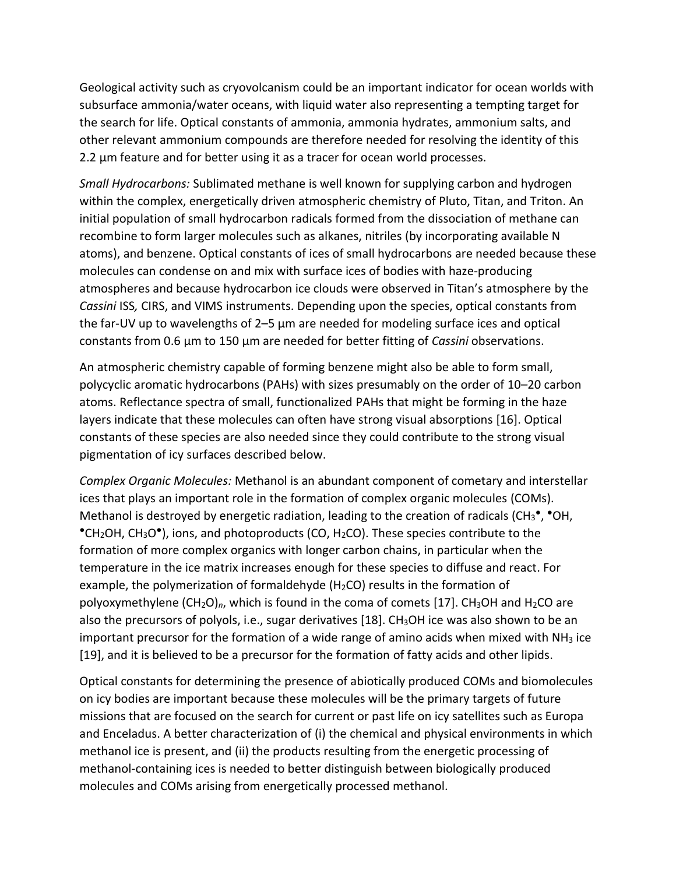Geological activity such as cryovolcanism could be an important indicator for ocean worlds with subsurface ammonia/water oceans, with liquid water also representing a tempting target for the search for life. Optical constants of ammonia, ammonia hydrates, ammonium salts, and other relevant ammonium compounds are therefore needed for resolving the identity of this 2.2 μm feature and for better using it as a tracer for ocean world processes.

*Small Hydrocarbons:* Sublimated methane is well known for supplying carbon and hydrogen within the complex, energetically driven atmospheric chemistry of Pluto, Titan, and Triton. An initial population of small hydrocarbon radicals formed from the dissociation of methane can recombine to form larger molecules such as alkanes, nitriles (by incorporating available N atoms), and benzene. Optical constants of ices of small hydrocarbons are needed because these molecules can condense on and mix with surface ices of bodies with haze-producing atmospheres and because hydrocarbon ice clouds were observed in Titan's atmosphere by the *Cassini* ISS*,* CIRS, and VIMS instruments. Depending upon the species, optical constants from the far-UV up to wavelengths of 2–5 μm are needed for modeling surface ices and optical constants from 0.6 μm to 150 μm are needed for better fitting of *Cassini* observations.

An atmospheric chemistry capable of forming benzene might also be able to form small, polycyclic aromatic hydrocarbons (PAHs) with sizes presumably on the order of 10–20 carbon atoms. Reflectance spectra of small, functionalized PAHs that might be forming in the haze layers indicate that these molecules can often have strong visual absorptions [16]. Optical constants of these species are also needed since they could contribute to the strong visual pigmentation of icy surfaces described below.

*Complex Organic Molecules:* Methanol is an abundant component of cometary and interstellar ices that plays an important role in the formation of complex organic molecules (COMs). Methanol is destroyed by energetic radiation, leading to the creation of radicals (CH<sub>3</sub><sup>•</sup>, <sup>•</sup>OH, •CH<sub>2</sub>OH, CH<sub>3</sub>O•), ions, and photoproducts (CO, H<sub>2</sub>CO). These species contribute to the formation of more complex organics with longer carbon chains, in particular when the temperature in the ice matrix increases enough for these species to diffuse and react. For example, the polymerization of formaldehyde (H<sub>2</sub>CO) results in the formation of polyoxymethylene (CH<sub>2</sub>O)<sub>n</sub>, which is found in the coma of comets [17]. CH<sub>3</sub>OH and H<sub>2</sub>CO are also the precursors of polyols, i.e., sugar derivatives [18].  $CH<sub>3</sub>OH$  ice was also shown to be an important precursor for the formation of a wide range of amino acids when mixed with  $NH<sub>3</sub>$  ice [19], and it is believed to be a precursor for the formation of fatty acids and other lipids.

Optical constants for determining the presence of abiotically produced COMs and biomolecules on icy bodies are important because these molecules will be the primary targets of future missions that are focused on the search for current or past life on icy satellites such as Europa and Enceladus. A better characterization of (i) the chemical and physical environments in which methanol ice is present, and (ii) the products resulting from the energetic processing of methanol-containing ices is needed to better distinguish between biologically produced molecules and COMs arising from energetically processed methanol.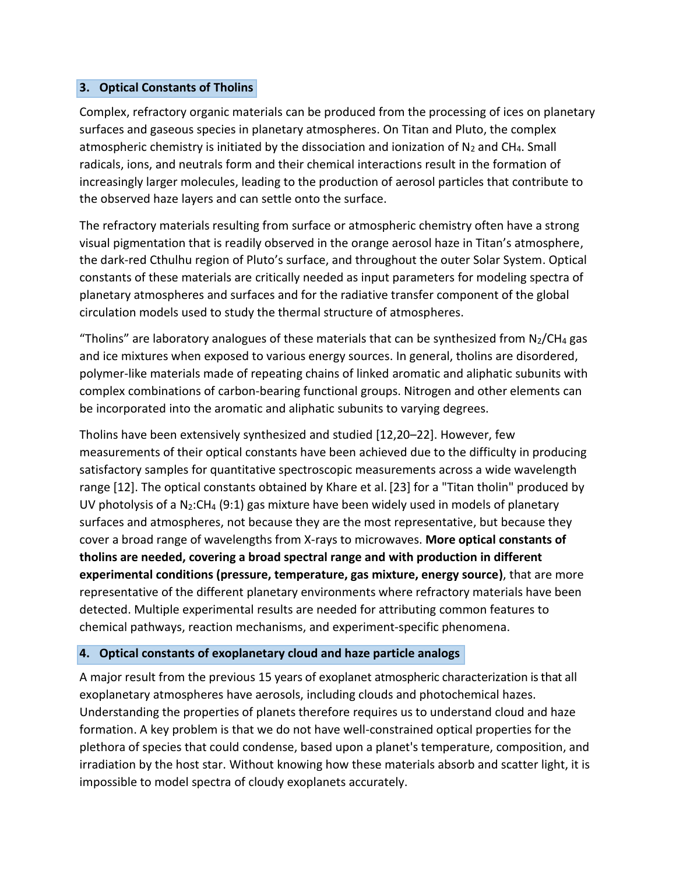### **3. Optical Constants of Tholins**

Complex, refractory organic materials can be produced from the processing of ices on planetary surfaces and gaseous species in planetary atmospheres. On Titan and Pluto, the complex atmospheric chemistry is initiated by the dissociation and ionization of  $N_2$  and CH<sub>4</sub>. Small radicals, ions, and neutrals form and their chemical interactions result in the formation of increasingly larger molecules, leading to the production of aerosol particles that contribute to the observed haze layers and can settle onto the surface.

The refractory materials resulting from surface or atmospheric chemistry often have a strong visual pigmentation that is readily observed in the orange aerosol haze in Titan's atmosphere, the dark-red Cthulhu region of Pluto's surface, and throughout the outer Solar System. Optical constants of these materials are critically needed as input parameters for modeling spectra of planetary atmospheres and surfaces and for the radiative transfer component of the global circulation models used to study the thermal structure of atmospheres.

"Tholins" are laboratory analogues of these materials that can be synthesized from  $N_2/CH_4$  gas and ice mixtures when exposed to various energy sources. In general, tholins are disordered, polymer-like materials made of repeating chains of linked aromatic and aliphatic subunits with complex combinations of carbon-bearing functional groups. Nitrogen and other elements can be incorporated into the aromatic and aliphatic subunits to varying degrees.

Tholins have been extensively synthesized and studied [12,20–22]. However, few measurements of their optical constants have been achieved due to the difficulty in producing satisfactory samples for quantitative spectroscopic measurements across a wide wavelength range [12]. The optical constants obtained by Khare et al. [23] for a "Titan tholin" produced by UV photolysis of a  $N_2:CH_4$  (9:1) gas mixture have been widely used in models of planetary surfaces and atmospheres, not because they are the most representative, but because they cover a broad range of wavelengths from X-rays to microwaves. **More optical constants of tholins are needed, covering a broad spectral range and with production in different experimental conditions (pressure, temperature, gas mixture, energy source)**, that are more representative of the different planetary environments where refractory materials have been detected. Multiple experimental results are needed for attributing common features to chemical pathways, reaction mechanisms, and experiment-specific phenomena.

# **4. Optical constants of exoplanetary cloud and haze particle analogs**

A major result from the previous 15 years of exoplanet atmospheric characterization is that all exoplanetary atmospheres have aerosols, including clouds and photochemical hazes. Understanding the properties of planets therefore requires us to understand cloud and haze formation. A key problem is that we do not have well-constrained optical properties for the plethora of species that could condense, based upon a planet's temperature, composition, and irradiation by the host star. Without knowing how these materials absorb and scatter light, it is impossible to model spectra of cloudy exoplanets accurately.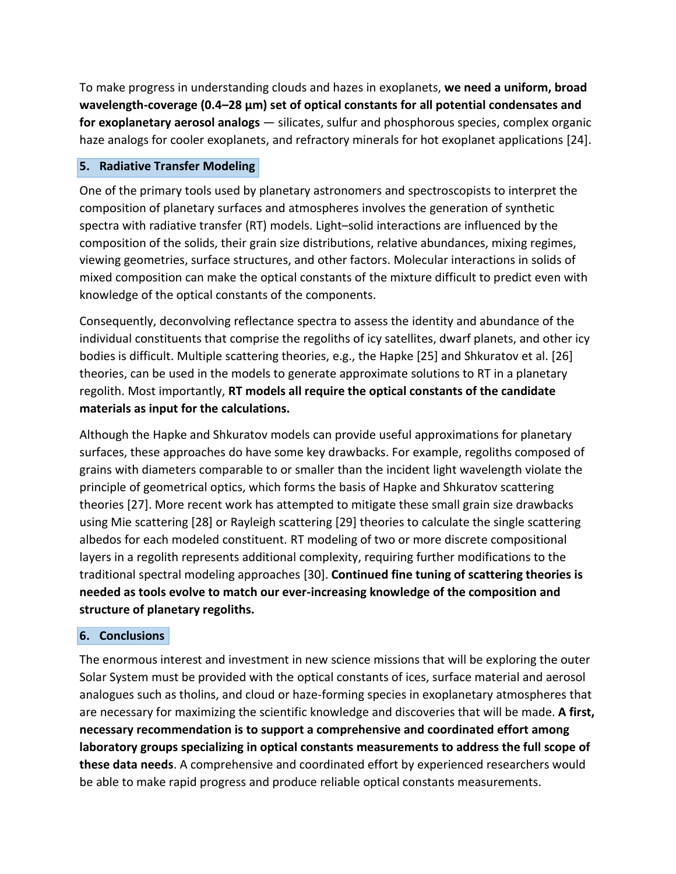To make progress in understanding clouds and hazes in exoplanets, **we need a uniform, broad wavelength-coverage (0.4–28 µm) set of optical constants for all potential condensates and for exoplanetary aerosol analogs** — silicates, sulfur and phosphorous species, complex organic haze analogs for cooler exoplanets, and refractory minerals for hot exoplanet applications [24].

# **5. Radiative Transfer Modeling**

One of the primary tools used by planetary astronomers and spectroscopists to interpret the composition of planetary surfaces and atmospheres involves the generation of synthetic spectra with radiative transfer (RT) models. Light–solid interactions are influenced by the composition of the solids, their grain size distributions, relative abundances, mixing regimes, viewing geometries, surface structures, and other factors. Molecular interactions in solids of mixed composition can make the optical constants of the mixture difficult to predict even with knowledge of the optical constants of the components.

Consequently, deconvolving reflectance spectra to assess the identity and abundance of the individual constituents that comprise the regoliths of icy satellites, dwarf planets, and other icy bodies is difficult. Multiple scattering theories, e.g., the Hapke [25] and Shkuratov et al. [26] theories, can be used in the models to generate approximate solutions to RT in a planetary regolith. Most importantly, **RT models all require the optical constants of the candidate materials as input for the calculations.**

Although the Hapke and Shkuratov models can provide useful approximations for planetary surfaces, these approaches do have some key drawbacks. For example, regoliths composed of grains with diameters comparable to or smaller than the incident light wavelength violate the principle of geometrical optics, which forms the basis of Hapke and Shkuratov scattering theories [27]. More recent work has attempted to mitigate these small grain size drawbacks using Mie scattering [28] or Rayleigh scattering [29] theories to calculate the single scattering albedos for each modeled constituent. RT modeling of two or more discrete compositional layers in a regolith represents additional complexity, requiring further modifications to the traditional spectral modeling approaches [30]. **Continued fine tuning of scattering theories is needed as tools evolve to match our ever-increasing knowledge of the composition and structure of planetary regoliths.**

# **6. Conclusions**

The enormous interest and investment in new science missions that will be exploring the outer Solar System must be provided with the optical constants of ices, surface material and aerosol analogues such as tholins, and cloud or haze-forming species in exoplanetary atmospheres that are necessary for maximizing the scientific knowledge and discoveries that will be made. **A first, necessary recommendation is to support a comprehensive and coordinated effort among laboratory groups specializing in optical constants measurements to address the full scope of these data needs**. A comprehensive and coordinated effort by experienced researchers would be able to make rapid progress and produce reliable optical constants measurements.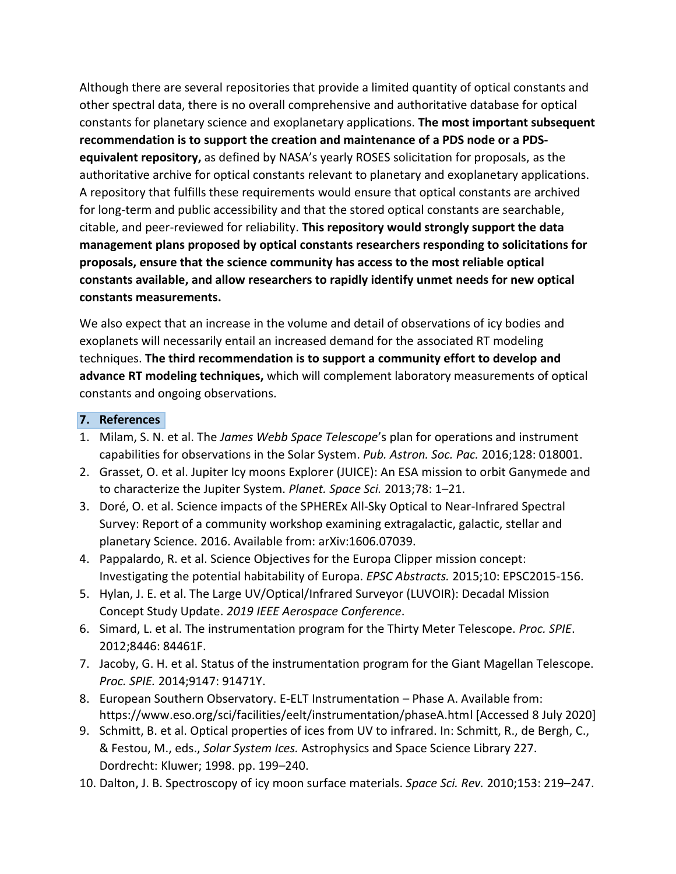Although there are several repositories that provide a limited quantity of optical constants and other spectral data, there is no overall comprehensive and authoritative database for optical constants for planetary science and exoplanetary applications. **The most important subsequent recommendation is to support the creation and maintenance of a PDS node or a PDSequivalent repository,** as defined by NASA's yearly ROSES solicitation for proposals, as the authoritative archive for optical constants relevant to planetary and exoplanetary applications. A repository that fulfills these requirements would ensure that optical constants are archived for long-term and public accessibility and that the stored optical constants are searchable, citable, and peer-reviewed for reliability. **This repository would strongly support the data management plans proposed by optical constants researchers responding to solicitations for proposals, ensure that the science community has access to the most reliable optical constants available, and allow researchers to rapidly identify unmet needs for new optical constants measurements.**

We also expect that an increase in the volume and detail of observations of icy bodies and exoplanets will necessarily entail an increased demand for the associated RT modeling techniques. **The third recommendation is to support a community effort to develop and advance RT modeling techniques,** which will complement laboratory measurements of optical constants and ongoing observations.

#### **7. References**

- 1. Milam, S. N. et al. The *James Webb Space Telescope*'s plan for operations and instrument capabilities for observations in the Solar System. *Pub. Astron. Soc. Pac.* 2016;128: 018001.
- 2. Grasset, O. et al. Jupiter Icy moons Explorer (JUICE): An ESA mission to orbit Ganymede and to characterize the Jupiter System. *Planet. Space Sci.* 2013;78: 1–21.
- 3. Doré, O. et al. Science impacts of the SPHEREx All-Sky Optical to Near-Infrared Spectral Survey: Report of a community workshop examining extragalactic, galactic, stellar and planetary Science. 2016. Available from: arXiv:1606.07039.
- 4. Pappalardo, R. et al. Science Objectives for the Europa Clipper mission concept: Investigating the potential habitability of Europa. *EPSC Abstracts.* 2015;10: EPSC2015-156.
- 5. Hylan, J. E. et al. The Large UV/Optical/Infrared Surveyor (LUVOIR): Decadal Mission Concept Study Update. *2019 IEEE Aerospace Conference*.
- 6. Simard, L. et al. The instrumentation program for the Thirty Meter Telescope. *Proc. SPIE*. 2012;8446: 84461F.
- 7. Jacoby, G. H. et al. Status of the instrumentation program for the Giant Magellan Telescope. *Proc. SPIE.* 2014;9147: 91471Y.
- 8. European Southern Observatory. E-ELT Instrumentation Phase A. Available from: https://www.eso.org/sci/facilities/eelt/instrumentation/phaseA.html [Accessed 8 July 2020]
- 9. Schmitt, B. et al. Optical properties of ices from UV to infrared. In: Schmitt, R., de Bergh, C., & Festou, M., eds., *Solar System Ices.* Astrophysics and Space Science Library 227. Dordrecht: Kluwer; 1998. pp. 199–240.
- 10. Dalton, J. B. Spectroscopy of icy moon surface materials. *Space Sci. Rev.* 2010;153: 219–247.